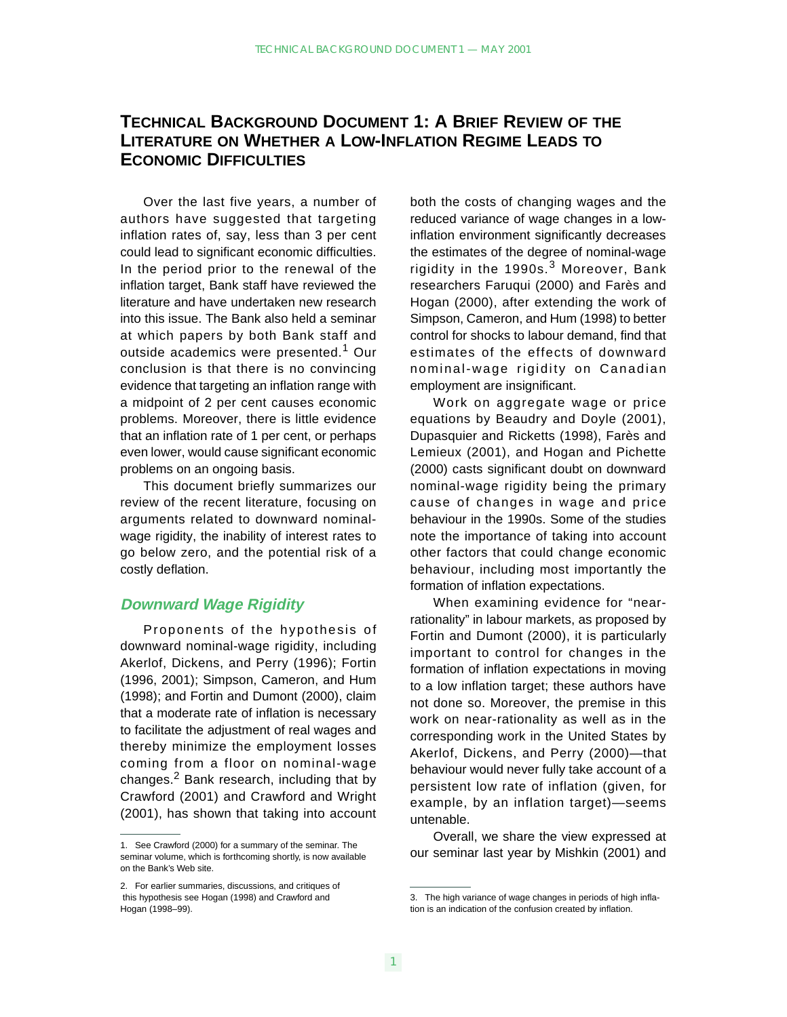# **TECHNICAL BACKGROUND DOCUMENT 1: A BRIEF REVIEW OF THE LITERATURE ON WHETHER A LOW-INFLATION REGIME LEADS TO ECONOMIC DIFFICULTIES**

Over the last five years, a number of authors have suggested that targeting inflation rates of, say, less than 3 per cent could lead to significant economic difficulties. In the period prior to the renewal of the inflation target, Bank staff have reviewed the literature and have undertaken new research into this issue. The Bank also held a seminar at which papers by both Bank staff and outside academics were presented.<sup>1</sup> Our conclusion is that there is no convincing evidence that targeting an inflation range with a midpoint of 2 per cent causes economic problems. Moreover, there is little evidence that an inflation rate of 1 per cent, or perhaps even lower, would cause significant economic problems on an ongoing basis.

This document briefly summarizes our review of the recent literature, focusing on arguments related to downward nominalwage rigidity, the inability of interest rates to go below zero, and the potential risk of a costly deflation.

### **Downward Wage Rigidity**

Proponents of the hypothesis of downward nominal-wage rigidity, including Akerlof, Dickens, and Perry (1996); Fortin (1996, 2001); Simpson, Cameron, and Hum (1998); and Fortin and Dumont (2000), claim that a moderate rate of inflation is necessary to facilitate the adjustment of real wages and thereby minimize the employment losses coming from a floor on nominal-wage changes. $<sup>2</sup>$  Bank research, including that by</sup> Crawford (2001) and Crawford and Wright (2001), has shown that taking into account both the costs of changing wages and the reduced variance of wage changes in a lowinflation environment significantly decreases the estimates of the degree of nominal-wage rigidity in the 1990s. $3$  Moreover, Bank researchers Faruqui (2000) and Farès and Hogan (2000), after extending the work of Simpson, Cameron, and Hum (1998) to better control for shocks to labour demand, find that estimates of the effects of downward nominal-wage rigidity on Canadian employment are insignificant.

Work on aggregate wage or price equations by Beaudry and Doyle (2001), Dupasquier and Ricketts (1998), Farès and Lemieux (2001), and Hogan and Pichette (2000) casts significant doubt on downward nominal-wage rigidity being the primary cause of changes in wage and price behaviour in the 1990s. Some of the studies note the importance of taking into account other factors that could change economic behaviour, including most importantly the formation of inflation expectations.

When examining evidence for "nearrationality" in labour markets, as proposed by Fortin and Dumont (2000), it is particularly important to control for changes in the formation of inflation expectations in moving to a low inflation target; these authors have not done so. Moreover, the premise in this work on near-rationality as well as in the corresponding work in the United States by Akerlof, Dickens, and Perry (2000)—that behaviour would never fully take account of a persistent low rate of inflation (given, for example, by an inflation target)—seems untenable.

Overall, we share the view expressed at our seminar last year by Mishkin (2001) and

<sup>1.</sup> See Crawford (2000) for a summary of the seminar. The seminar volume, which is forthcoming shortly, is now available on the Bank's Web site.

<sup>2.</sup> For earlier summaries, discussions, and critiques of this hypothesis see Hogan (1998) and Crawford and Hogan (1998–99).

<sup>3.</sup> The high variance of wage changes in periods of high inflation is an indication of the confusion created by inflation.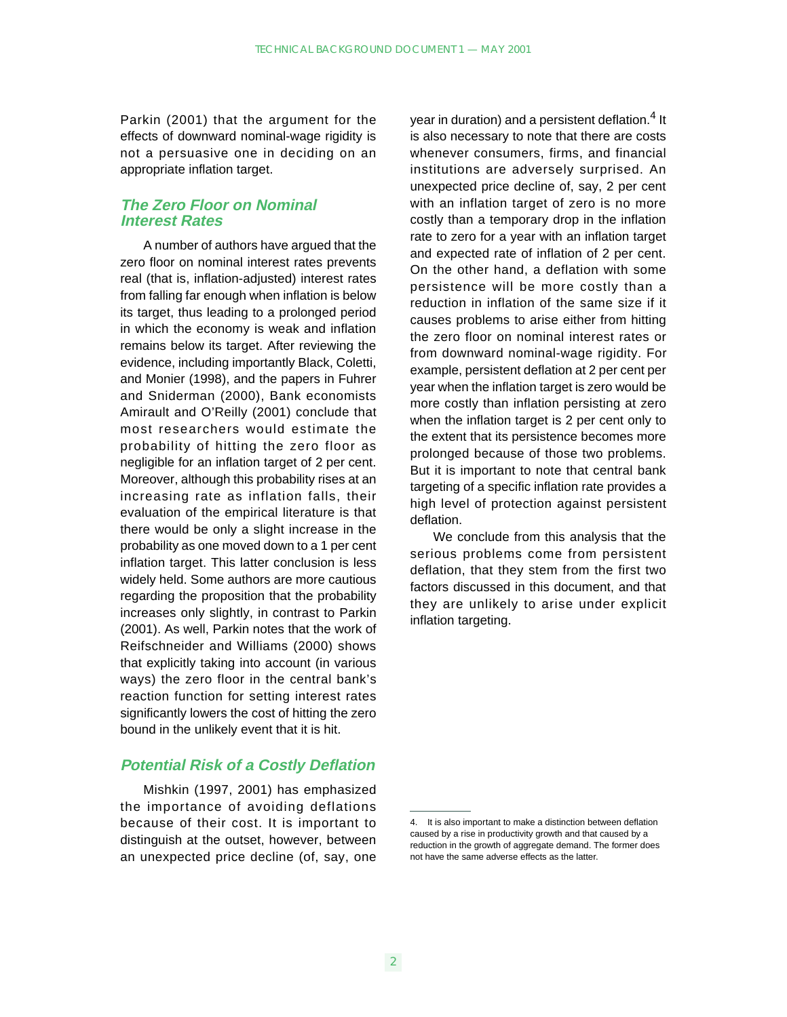Parkin (2001) that the argument for the effects of downward nominal-wage rigidity is not a persuasive one in deciding on an appropriate inflation target.

## **The Zero Floor on Nominal Interest Rates**

A number of authors have argued that the zero floor on nominal interest rates prevents real (that is, inflation-adjusted) interest rates from falling far enough when inflation is below its target, thus leading to a prolonged period in which the economy is weak and inflation remains below its target. After reviewing the evidence, including importantly Black, Coletti, and Monier (1998), and the papers in Fuhrer and Sniderman (2000), Bank economists Amirault and O'Reilly (2001) conclude that most researchers would estimate the probability of hitting the zero floor as negligible for an inflation target of 2 per cent. Moreover, although this probability rises at an increasing rate as inflation falls, their evaluation of the empirical literature is that there would be only a slight increase in the probability as one moved down to a 1 per cent inflation target. This latter conclusion is less widely held. Some authors are more cautious regarding the proposition that the probability increases only slightly, in contrast to Parkin (2001). As well, Parkin notes that the work of Reifschneider and Williams (2000) shows that explicitly taking into account (in various ways) the zero floor in the central bank's reaction function for setting interest rates significantly lowers the cost of hitting the zero bound in the unlikely event that it is hit.

### **Potential Risk of a Costly Deflation**

Mishkin (1997, 2001) has emphasized the importance of avoiding deflations because of their cost. It is important to distinguish at the outset, however, between an unexpected price decline (of, say, one

year in duration) and a persistent deflation.<sup>4</sup> It is also necessary to note that there are costs whenever consumers, firms, and financial institutions are adversely surprised. An unexpected price decline of, say, 2 per cent with an inflation target of zero is no more costly than a temporary drop in the inflation rate to zero for a year with an inflation target and expected rate of inflation of 2 per cent. On the other hand, a deflation with some persistence will be more costly than a reduction in inflation of the same size if it causes problems to arise either from hitting the zero floor on nominal interest rates or from downward nominal-wage rigidity. For example, persistent deflation at 2 per cent per year when the inflation target is zero would be more costly than inflation persisting at zero when the inflation target is 2 per cent only to the extent that its persistence becomes more prolonged because of those two problems. But it is important to note that central bank targeting of a specific inflation rate provides a high level of protection against persistent deflation.

We conclude from this analysis that the serious problems come from persistent deflation, that they stem from the first two factors discussed in this document, and that they are unlikely to arise under explicit inflation targeting.

<sup>4.</sup> It is also important to make a distinction between deflation caused by a rise in productivity growth and that caused by a reduction in the growth of aggregate demand. The former does not have the same adverse effects as the latter.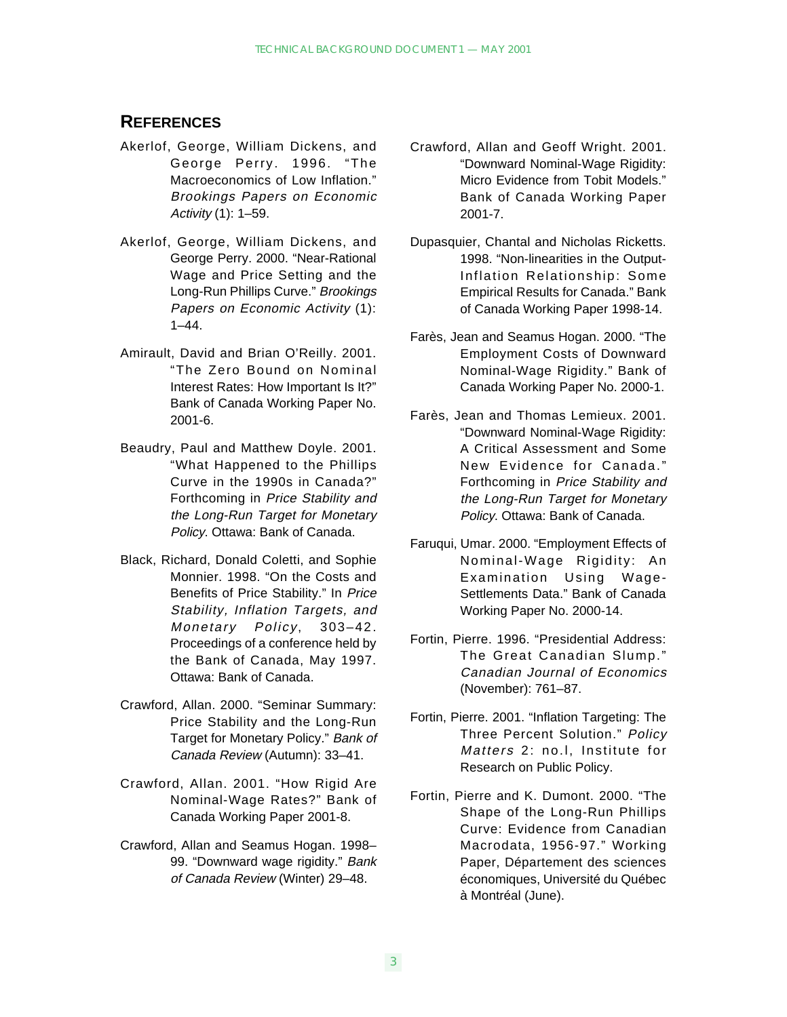## **REFERENCES**

- Akerlof, George, William Dickens, and George Perry. 1996. "The Macroeconomics of Low Inflation." Brookings Papers on Economic Activity (1): 1–59.
- Akerlof, George, William Dickens, and George Perry. 2000. "Near-Rational Wage and Price Setting and the Long-Run Phillips Curve." Brookings Papers on Economic Activity (1): 1–44.
- Amirault, David and Brian O'Reilly. 2001. "The Zero Bound on Nominal Interest Rates: How Important Is It?" Bank of Canada Working Paper No. 2001-6.
- Beaudry, Paul and Matthew Doyle. 2001. "What Happened to the Phillips Curve in the 1990s in Canada?" Forthcoming in Price Stability and the Long-Run Target for Monetary Policy. Ottawa: Bank of Canada.
- Black, Richard, Donald Coletti, and Sophie Monnier. 1998. "On the Costs and Benefits of Price Stability." In Price Stability, Inflation Targets, and Monetary Policy, 303-42. Proceedings of a conference held by the Bank of Canada, May 1997. Ottawa: Bank of Canada.
- Crawford, Allan. 2000. "Seminar Summary: Price Stability and the Long-Run Target for Monetary Policy." Bank of Canada Review (Autumn): 33–41.
- Crawford, Allan. 2001. "How Rigid Are Nominal-Wage Rates?" Bank of Canada Working Paper 2001-8.
- Crawford, Allan and Seamus Hogan. 1998– 99. "Downward wage rigidity." Bank of Canada Review (Winter) 29–48.
- Crawford, Allan and Geoff Wright. 2001. "Downward Nominal-Wage Rigidity: Micro Evidence from Tobit Models." Bank of Canada Working Paper 2001-7.
- Dupasquier, Chantal and Nicholas Ricketts. 1998. "Non-linearities in the Output-Inflation Relationship: Some Empirical Results for Canada." Bank of Canada Working Paper 1998-14.
- Farès, Jean and Seamus Hogan. 2000. "The Employment Costs of Downward Nominal-Wage Rigidity." Bank of Canada Working Paper No. 2000-1.
- Farès, Jean and Thomas Lemieux. 2001. "Downward Nominal-Wage Rigidity: A Critical Assessment and Some New Evidence for Canada." Forthcoming in Price Stability and the Long-Run Target for Monetary Policy. Ottawa: Bank of Canada.
- Faruqui, Umar. 2000. "Employment Effects of Nominal-Wage Rigidity: An Examination Using Wage-Settlements Data." Bank of Canada Working Paper No. 2000-14.
- Fortin, Pierre. 1996. "Presidential Address: The Great Canadian Slump." Canadian Journal of Economics (November): 761–87.
- Fortin, Pierre. 2001. "Inflation Targeting: The Three Percent Solution." Policy Matters 2: no.l, Institute for Research on Public Policy.
- Fortin, Pierre and K. Dumont. 2000. "The Shape of the Long-Run Phillips Curve: Evidence from Canadian Macrodata, 1956-97." Working Paper, Département des sciences économiques, Université du Québec à Montréal (June).